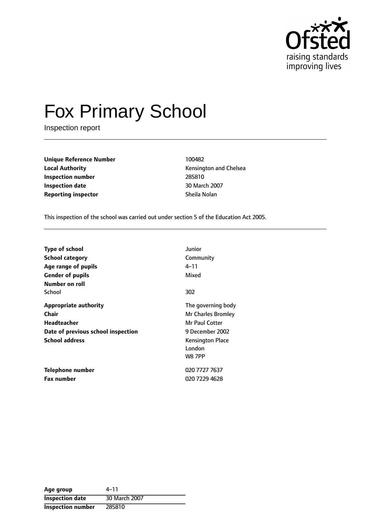

# Fox Primary School

Inspection report

**Unique Reference Number** 100482 **Local Authority Construction Chelsea Kensington and Chelsea Inspection number** 285810 **Inspection date** 30 March 2007 **Reporting inspector** Sheila Nolan

This inspection of the school was carried out under section 5 of the Education Act 2005.

| <b>Type of school</b><br>School category<br>Age range of pupils<br><b>Gender of pupils</b><br>Number on roll | Junior<br>Community<br>4–11<br>Mixed                                                                                                |
|--------------------------------------------------------------------------------------------------------------|-------------------------------------------------------------------------------------------------------------------------------------|
| School                                                                                                       | 302                                                                                                                                 |
| Appropriate authority<br>Chair<br>Headteacher<br>Date of previous school inspection<br><b>School address</b> | The governing body<br>Mr Charles Bromley<br>Mr Paul Cotter<br>9 December 2002<br><b>Kensington Place</b><br>London<br><b>W8 7PP</b> |
| Telephone number<br><b>Fax number</b>                                                                        | 020 7727 7637<br>020 7229 4628                                                                                                      |

| Age group                | 4–11          |
|--------------------------|---------------|
| <b>Inspection date</b>   | 30 March 2007 |
| <b>Inspection number</b> | 285810        |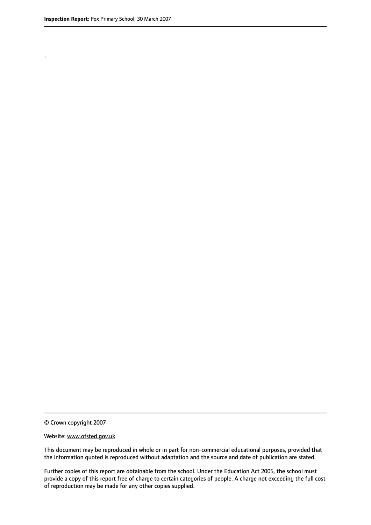.

© Crown copyright 2007

#### Website: www.ofsted.gov.uk

This document may be reproduced in whole or in part for non-commercial educational purposes, provided that the information quoted is reproduced without adaptation and the source and date of publication are stated.

Further copies of this report are obtainable from the school. Under the Education Act 2005, the school must provide a copy of this report free of charge to certain categories of people. A charge not exceeding the full cost of reproduction may be made for any other copies supplied.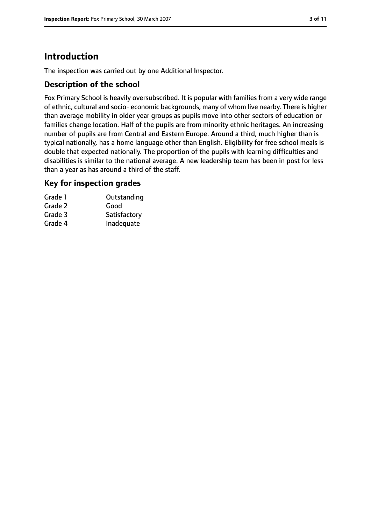### **Introduction**

The inspection was carried out by one Additional Inspector.

#### **Description of the school**

Fox Primary School is heavily oversubscribed. It is popular with families from a very wide range of ethnic, cultural and socio- economic backgrounds, many of whom live nearby. There is higher than average mobility in older year groups as pupils move into other sectors of education or families change location. Half of the pupils are from minority ethnic heritages. An increasing number of pupils are from Central and Eastern Europe. Around a third, much higher than is typical nationally, has a home language other than English. Eligibility for free school meals is double that expected nationally. The proportion of the pupils with learning difficulties and disabilities is similar to the national average. A new leadership team has been in post for less than a year as has around a third of the staff.

#### **Key for inspection grades**

| Grade 1 | Outstanding  |
|---------|--------------|
| Grade 2 | Good         |
| Grade 3 | Satisfactory |
| Grade 4 | Inadequate   |
|         |              |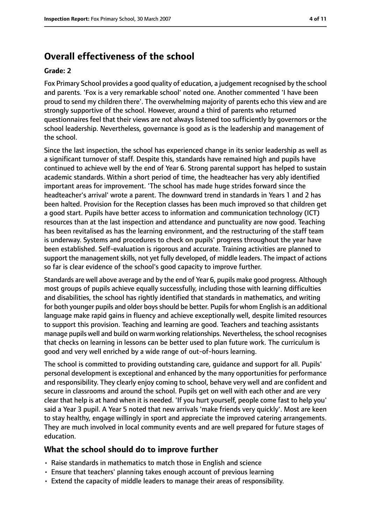### **Overall effectiveness of the school**

#### **Grade: 2**

Fox Primary School provides a good quality of education, a judgement recognised by the school and parents. 'Fox is a very remarkable school' noted one. Another commented 'I have been proud to send my children there'. The overwhelming majority of parents echo this view and are strongly supportive of the school. However, around a third of parents who returned questionnaires feel that their views are not always listened too sufficiently by governors or the school leadership. Nevertheless, governance is good as is the leadership and management of the school.

Since the last inspection, the school has experienced change in its senior leadership as well as a significant turnover of staff. Despite this, standards have remained high and pupils have continued to achieve well by the end of Year 6. Strong parental support has helped to sustain academic standards. Within a short period of time, the headteacher has very ably identified important areas for improvement. 'The school has made huge strides forward since the headteacher's arrival' wrote a parent. The downward trend in standards in Years 1 and 2 has been halted. Provision for the Reception classes has been much improved so that children get a good start. Pupils have better access to information and communication technology (ICT) resources than at the last inspection and attendance and punctuality are now good. Teaching has been revitalised as has the learning environment, and the restructuring of the staff team is underway. Systems and procedures to check on pupils' progress throughout the year have been established. Self-evaluation is rigorous and accurate. Training activities are planned to support the management skills, not yet fully developed, of middle leaders. The impact of actions so far is clear evidence of the school's good capacity to improve further.

Standards are well above average and by the end of Year 6, pupils make good progress. Although most groups of pupils achieve equally successfully, including those with learning difficulties and disabilities, the school has rightly identified that standards in mathematics, and writing for both younger pupils and older boys should be better. Pupils for whom English is an additional language make rapid gains in fluency and achieve exceptionally well, despite limited resources to support this provision. Teaching and learning are good. Teachers and teaching assistants manage pupils well and build on warm working relationships. Nevertheless, the school recognises that checks on learning in lessons can be better used to plan future work. The curriculum is good and very well enriched by a wide range of out-of-hours learning.

The school is committed to providing outstanding care, guidance and support for all. Pupils' personal development is exceptional and enhanced by the many opportunities for performance and responsibility. They clearly enjoy coming to school, behave very well and are confident and secure in classrooms and around the school. Pupils get on well with each other and are very clear that help is at hand when it is needed. 'If you hurt yourself, people come fast to help you' said a Year 3 pupil. A Year 5 noted that new arrivals 'make friends very quickly'. Most are keen to stay healthy, engage willingly in sport and appreciate the improved catering arrangements. They are much involved in local community events and are well prepared for future stages of education.

#### **What the school should do to improve further**

- Raise standards in mathematics to match those in English and science
- Ensure that teachers' planning takes enough account of previous learning
- Extend the capacity of middle leaders to manage their areas of responsibility.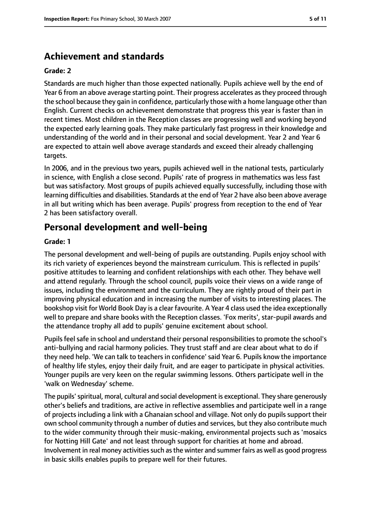### **Achievement and standards**

#### **Grade: 2**

Standards are much higher than those expected nationally. Pupils achieve well by the end of Year 6 from an above average starting point. Their progress accelerates asthey proceed through the school because they gain in confidence, particularly those with a home language other than English. Current checks on achievement demonstrate that progress this year is faster than in recent times. Most children in the Reception classes are progressing well and working beyond the expected early learning goals. They make particularly fast progress in their knowledge and understanding of the world and in their personal and social development. Year 2 and Year 6 are expected to attain well above average standards and exceed their already challenging targets.

In 2006, and in the previous two years, pupils achieved well in the national tests, particularly in science, with English a close second. Pupils' rate of progress in mathematics was less fast but was satisfactory. Most groups of pupils achieved equally successfully, including those with learning difficulties and disabilities. Standards at the end of Year 2 have also been above average in all but writing which has been average. Pupils' progress from reception to the end of Year 2 has been satisfactory overall.

### **Personal development and well-being**

#### **Grade: 1**

The personal development and well-being of pupils are outstanding. Pupils enjoy school with its rich variety of experiences beyond the mainstream curriculum. This is reflected in pupils' positive attitudes to learning and confident relationships with each other. They behave well and attend regularly. Through the school council, pupils voice their views on a wide range of issues, including the environment and the curriculum. They are rightly proud of their part in improving physical education and in increasing the number of visits to interesting places. The bookshop visit for World Book Day is a clear favourite. A Year 4 class used the idea exceptionally well to prepare and share books with the Reception classes. 'Fox merits', star-pupil awards and the attendance trophy all add to pupils' genuine excitement about school.

Pupils feel safe in school and understand their personal responsibilities to promote the school's anti-bullying and racial harmony policies. They trust staff and are clear about what to do if they need help. 'We can talk to teachers in confidence' said Year 6. Pupils know the importance of healthy life styles, enjoy their daily fruit, and are eager to participate in physical activities. Younger pupils are very keen on the regular swimming lessons. Others participate well in the 'walk on Wednesday' scheme.

The pupils'spiritual, moral, cultural and social development is exceptional. They share generously other's beliefs and traditions, are active in reflective assemblies and participate well in a range of projects including a link with a Ghanaian school and village. Not only do pupils support their own school community through a number of duties and services, but they also contribute much to the wider community through their music-making, environmental projects such as 'mosaics for Notting Hill Gate' and not least through support for charities at home and abroad. Involvement in real money activitiessuch asthe winter and summer fairs as well as good progress in basic skills enables pupils to prepare well for their futures.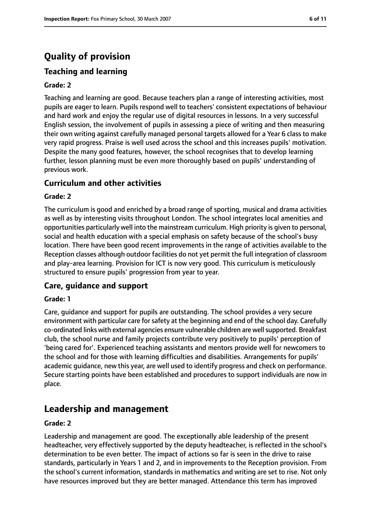## **Quality of provision**

### **Teaching and learning**

#### **Grade: 2**

Teaching and learning are good. Because teachers plan a range of interesting activities, most pupils are eager to learn. Pupils respond well to teachers' consistent expectations of behaviour and hard work and enjoy the regular use of digital resources in lessons. In a very successful English session, the involvement of pupils in assessing a piece of writing and then measuring their own writing against carefully managed personal targets allowed for a Year 6 class to make very rapid progress. Praise is well used across the school and this increases pupils' motivation. Despite the many good features, however, the school recognises that to develop learning further, lesson planning must be even more thoroughly based on pupils' understanding of previous work.

#### **Curriculum and other activities**

#### **Grade: 2**

The curriculum is good and enriched by a broad range of sporting, musical and drama activities as well as by interesting visits throughout London. The school integrates local amenities and opportunities particularly well into the mainstream curriculum. High priority is given to personal, social and health education with a special emphasis on safety because of the school's busy location. There have been good recent improvements in the range of activities available to the Reception classes although outdoor facilities do not yet permit the full integration of classroom and play-area learning. Provision for ICT is now very good. This curriculum is meticulously structured to ensure pupils' progression from year to year.

#### **Care, guidance and support**

#### **Grade: 1**

Care, guidance and support for pupils are outstanding. The school provides a very secure environment with particular care for safety at the beginning and end of the school day. Carefully co-ordinated links with external agencies ensure vulnerable children are well supported. Breakfast club, the school nurse and family projects contribute very positively to pupils' perception of 'being cared for'. Experienced teaching assistants and mentors provide well for newcomers to the school and for those with learning difficulties and disabilities. Arrangements for pupils' academic guidance, new this year, are well used to identify progress and check on performance. Secure starting points have been established and procedures to support individuals are now in place.

### **Leadership and management**

#### **Grade: 2**

Leadership and management are good. The exceptionally able leadership of the present headteacher, very effectively supported by the deputy headteacher, is reflected in the school's determination to be even better. The impact of actions so far is seen in the drive to raise standards, particularly in Years 1 and 2, and in improvements to the Reception provision. From the school's current information, standards in mathematics and writing are set to rise. Not only have resources improved but they are better managed. Attendance this term has improved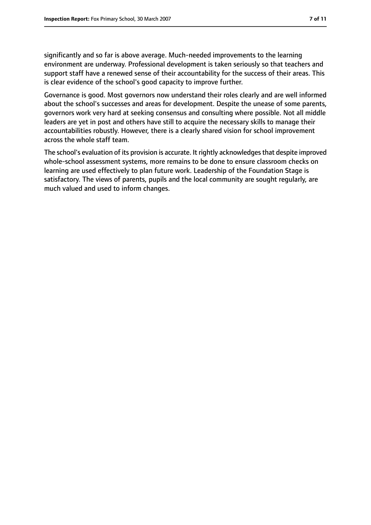significantly and so far is above average. Much-needed improvements to the learning environment are underway. Professional development is taken seriously so that teachers and support staff have a renewed sense of their accountability for the success of their areas. This is clear evidence of the school's good capacity to improve further.

Governance is good. Most governors now understand their roles clearly and are well informed about the school's successes and areas for development. Despite the unease of some parents, governors work very hard at seeking consensus and consulting where possible. Not all middle leaders are yet in post and others have still to acquire the necessary skills to manage their accountabilities robustly. However, there is a clearly shared vision for school improvement across the whole staff team.

The school's evaluation of its provision is accurate. It rightly acknowledgesthat despite improved whole-school assessment systems, more remains to be done to ensure classroom checks on learning are used effectively to plan future work. Leadership of the Foundation Stage is satisfactory. The views of parents, pupils and the local community are sought regularly, are much valued and used to inform changes.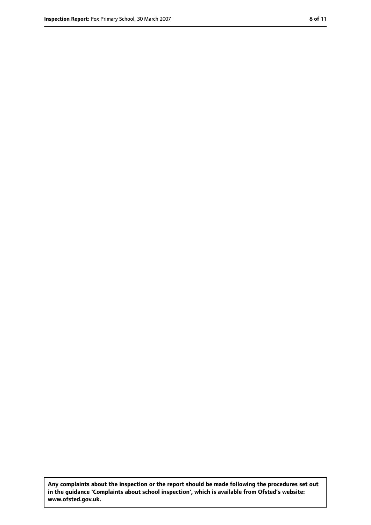**Any complaints about the inspection or the report should be made following the procedures set out in the guidance 'Complaints about school inspection', which is available from Ofsted's website: www.ofsted.gov.uk.**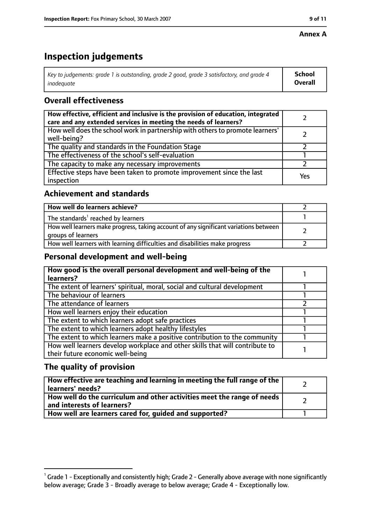#### **Annex A**

### **Inspection judgements**

| Key to judgements: grade 1 is outstanding, grade 2 good, grade 3 satisfactory, and grade 4 | <b>School</b>  |
|--------------------------------------------------------------------------------------------|----------------|
| inadeauate                                                                                 | <b>Overall</b> |

### **Overall effectiveness**

| How effective, efficient and inclusive is the provision of education, integrated<br>care and any extended services in meeting the needs of learners? |     |
|------------------------------------------------------------------------------------------------------------------------------------------------------|-----|
| How well does the school work in partnership with others to promote learners'<br>well-being?                                                         |     |
| The quality and standards in the Foundation Stage                                                                                                    |     |
| The effectiveness of the school's self-evaluation                                                                                                    |     |
| The capacity to make any necessary improvements                                                                                                      |     |
| Effective steps have been taken to promote improvement since the last<br>inspection                                                                  | Yes |

#### **Achievement and standards**

| How well do learners achieve?                                                                               |  |
|-------------------------------------------------------------------------------------------------------------|--|
| The standards <sup>1</sup> reached by learners                                                              |  |
| How well learners make progress, taking account of any significant variations between<br>groups of learners |  |
| How well learners with learning difficulties and disabilities make progress                                 |  |

#### **Personal development and well-being**

| How good is the overall personal development and well-being of the<br>learners? |  |
|---------------------------------------------------------------------------------|--|
|                                                                                 |  |
| The extent of learners' spiritual, moral, social and cultural development       |  |
| The behaviour of learners                                                       |  |
| The attendance of learners                                                      |  |
| How well learners enjoy their education                                         |  |
| The extent to which learners adopt safe practices                               |  |
| The extent to which learners adopt healthy lifestyles                           |  |
| The extent to which learners make a positive contribution to the community      |  |
| How well learners develop workplace and other skills that will contribute to    |  |
| their future economic well-being                                                |  |

### **The quality of provision**

| How effective are teaching and learning in meeting the full range of the<br>learners' needs?          |  |
|-------------------------------------------------------------------------------------------------------|--|
| How well do the curriculum and other activities meet the range of needs<br>and interests of learners? |  |
| How well are learners cared for, quided and supported?                                                |  |

 $^1$  Grade 1 - Exceptionally and consistently high; Grade 2 - Generally above average with none significantly below average; Grade 3 - Broadly average to below average; Grade 4 - Exceptionally low.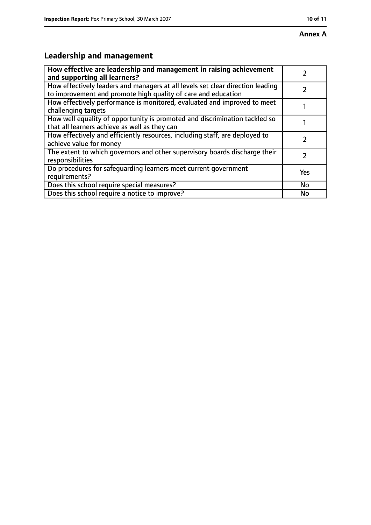## **Leadership and management**

| How effective are leadership and management in raising achievement<br>and supporting all learners?                                              |           |
|-------------------------------------------------------------------------------------------------------------------------------------------------|-----------|
| How effectively leaders and managers at all levels set clear direction leading<br>to improvement and promote high quality of care and education |           |
| How effectively performance is monitored, evaluated and improved to meet<br>challenging targets                                                 |           |
| How well equality of opportunity is promoted and discrimination tackled so<br>that all learners achieve as well as they can                     |           |
| How effectively and efficiently resources, including staff, are deployed to<br>achieve value for money                                          |           |
| The extent to which governors and other supervisory boards discharge their<br>responsibilities                                                  | 7         |
| Do procedures for safequarding learners meet current government<br>requirements?                                                                | Yes       |
| Does this school require special measures?                                                                                                      | <b>No</b> |
| Does this school require a notice to improve?                                                                                                   | No        |